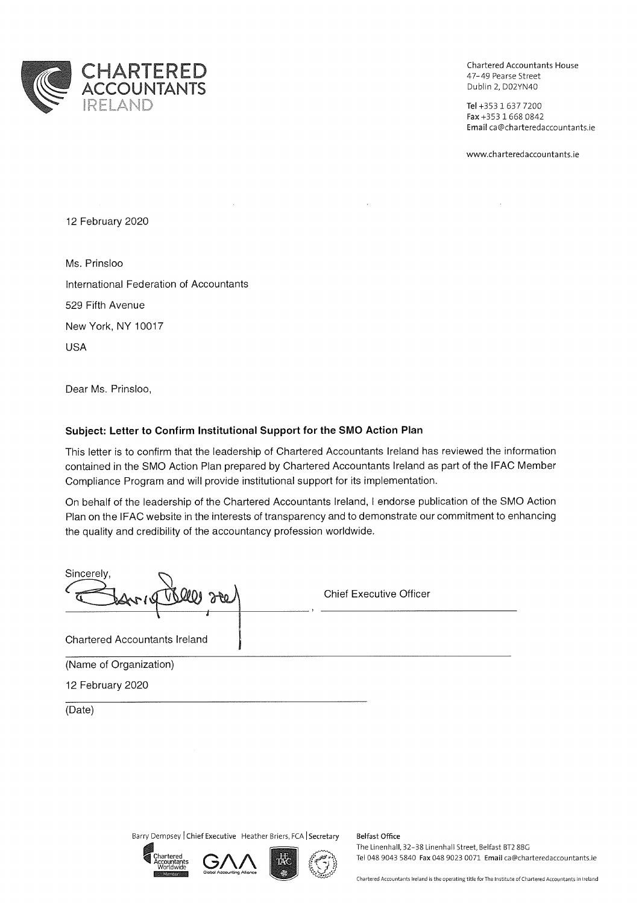

Chartered Accountants House 47-49 Pearse Street Dublin 2, D02YN40

Tel +353 1 637 7200 Fax +353 1 668 0842 Email ca@charteredaccountants.ie

www.charteredaccountants.ie

12 February 2020

Ms. Prinsloo International Federation of Accountants 529 Fifth Avenue New York, NY 10017 **USA** 

Dear Ms. Prinsloo,

## Subject: Letter to Confirm Institutional Support for the SMO Action Plan

This letter is to confirm that the leadership of Chartered Accountants Ireland has reviewed the information contained in the SMO Action Plan prepared by Chartered Accountants Ireland as part of the IFAC Member Compliance Program and will provide institutional support for its implementation.

On behalf of the leadership of the Chartered Accountants Ireland, I endorse publication of the SMO Action Plan on the IFAC website in the interests of transparency and to demonstrate our commitment to enhancing the quality and credibility of the accountancy profession worldwide.

| Sincerely,<br><u>Joh</u><br>$V$ Directed | <b>Chief Executive Officer</b> |
|------------------------------------------|--------------------------------|
| <b>Chartered Accountants Ireland</b>     |                                |
| (Name of Organization)                   |                                |
| 12 February 2020                         |                                |

(Date)

Barry Dempsey | Chief Executive Heather Briers, FCA | Secretary









Belfast Office The Linenhall, 32-38 Linenhall Street, Belfast BT2 8BG Tel 048 9043 5840 Fax 048 9023 0071 Email ca@charteredaccountants.ie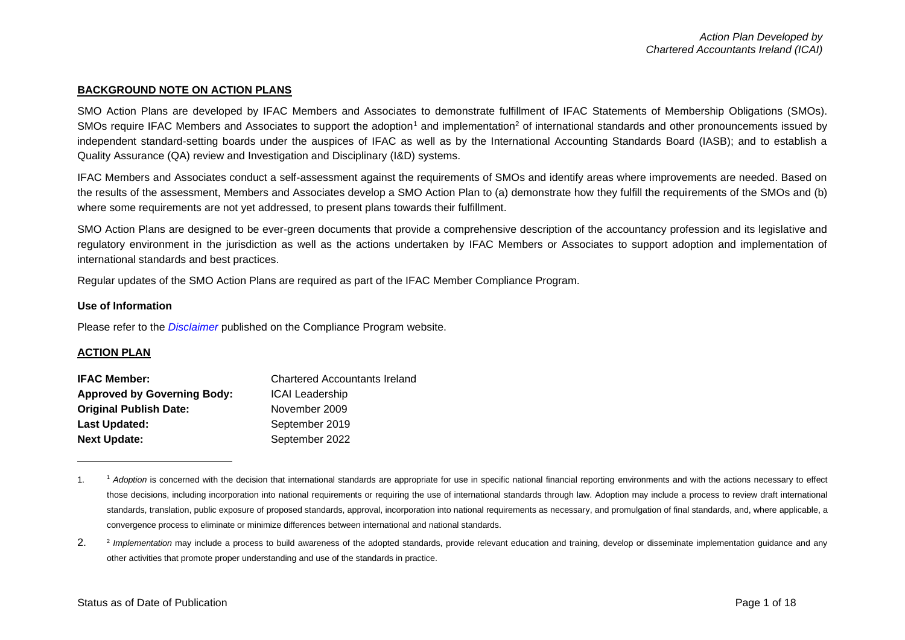## **BACKGROUND NOTE ON ACTION PLANS**

SMO Action Plans are developed by IFAC Members and Associates to demonstrate fulfillment of IFAC Statements of Membership Obligations (SMOs). SMOs require IFAC Members and Associates to support the adoption<sup>1</sup> and implementation<sup>2</sup> of international standards and other pronouncements issued by independent standard-setting boards under the auspices of IFAC as well as by the International Accounting Standards Board (IASB); and to establish a Quality Assurance (QA) review and Investigation and Disciplinary (I&D) systems.

IFAC Members and Associates conduct a self-assessment against the requirements of SMOs and identify areas where improvements are needed. Based on the results of the assessment, Members and Associates develop a SMO Action Plan to (a) demonstrate how they fulfill the requirements of the SMOs and (b) where some requirements are not yet addressed, to present plans towards their fulfillment.

SMO Action Plans are designed to be ever-green documents that provide a comprehensive description of the accountancy profession and its legislative and regulatory environment in the jurisdiction as well as the actions undertaken by IFAC Members or Associates to support adoption and implementation of international standards and best practices.

Regular updates of the SMO Action Plans are required as part of the IFAC Member Compliance Program.

### **Use of Information**

Please refer to the *[Disclaimer](http://www.ifac.org/about-ifac/membership/members/disclaimer)* published on the Compliance Program website.

### **ACTION PLAN**

| <b>IFAC Member:</b>                | <b>Chartered Accountants Ireland</b> |
|------------------------------------|--------------------------------------|
| <b>Approved by Governing Body:</b> | <b>ICAI Leadership</b>               |
| <b>Original Publish Date:</b>      | November 2009                        |
| Last Updated:                      | September 2019                       |
| <b>Next Update:</b>                | September 2022                       |

<sup>1. &</sup>lt;sup>1</sup> Adoption is concerned with the decision that international standards are appropriate for use in specific national financial reporting environments and with the actions necessary to effect those decisions, including incorporation into national requirements or requiring the use of international standards through law. Adoption may include a process to review draft international standards, translation, public exposure of proposed standards, approval, incorporation into national requirements as necessary, and promulgation of final standards, and, where applicable, a convergence process to eliminate or minimize differences between international and national standards.

 $2.$ <sup>2</sup> Implementation may include a process to build awareness of the adopted standards, provide relevant education and training, develop or disseminate implementation guidance and any other activities that promote proper understanding and use of the standards in practice.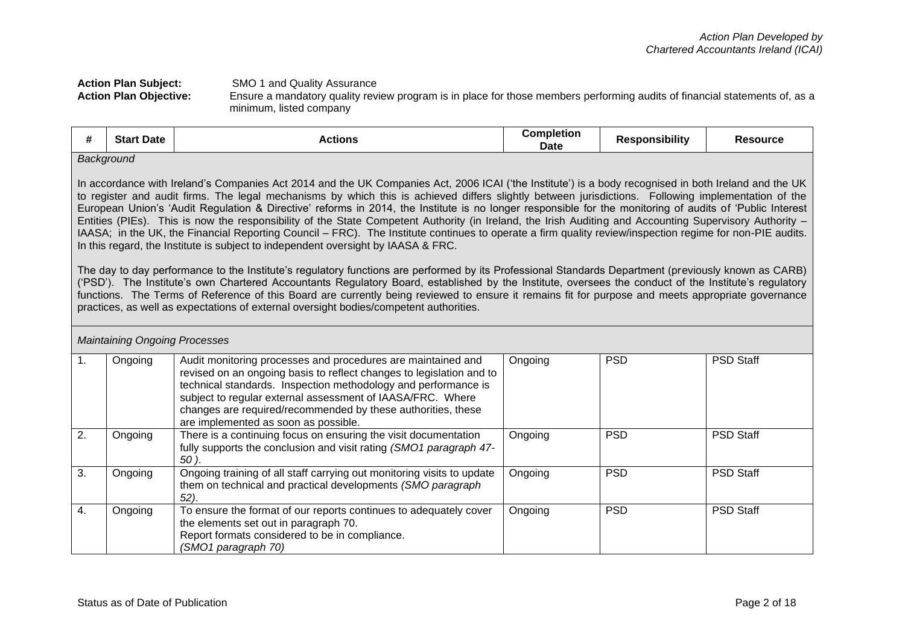## **Action Plan Subject:** SMO 1 and Quality Assurance<br>**Action Plan Objective:** Ensure a mandatory quality rev **Action Plan Objective:** Ensure a mandatory quality review program is in place for those members performing audits of financial statements of, as a minimum, listed company

| <br>π. | <b>Start Date</b> | Actions | Completion<br><b>Date</b> | <b>Responsibility</b> | <b>Resource</b> |
|--------|-------------------|---------|---------------------------|-----------------------|-----------------|
|        | Background        |         |                           |                       |                 |

In accordance with Ireland's Companies Act 2014 and the UK Companies Act, 2006 ICAI ('the Institute') is a body recognised in both Ireland and the UK to register and audit firms. The legal mechanisms by which this is achieved differs slightly between jurisdictions. Following implementation of the European Union's 'Audit Regulation & Directive' reforms in 2014, the Institute is no longer responsible for the monitoring of audits of 'Public Interest Entities (PIEs). This is now the responsibility of the State Competent Authority (in Ireland, the Irish Auditing and Accounting Supervisory Authority – IAASA; in the UK, the Financial Reporting Council – FRC). The Institute continues to operate a firm quality review/inspection regime for non-PIE audits. In this regard, the Institute is subject to independent oversight by IAASA & FRC.

The day to day performance to the Institute's regulatory functions are performed by its Professional Standards Department (previously known as CARB) ('PSD'). The Institute's own Chartered Accountants Regulatory Board, established by the Institute, oversees the conduct of the Institute's regulatory functions. The Terms of Reference of this Board are currently being reviewed to ensure it remains fit for purpose and meets appropriate governance practices, as well as expectations of external oversight bodies/competent authorities.

|    | <b>Maintaining Ongoing Processes</b> |                                                                                                                                                                                                                                                                                                                                                                              |         |            |                  |  |  |
|----|--------------------------------------|------------------------------------------------------------------------------------------------------------------------------------------------------------------------------------------------------------------------------------------------------------------------------------------------------------------------------------------------------------------------------|---------|------------|------------------|--|--|
|    | Ongoing                              | Audit monitoring processes and procedures are maintained and<br>revised on an ongoing basis to reflect changes to legislation and to<br>technical standards. Inspection methodology and performance is<br>subject to regular external assessment of IAASA/FRC. Where<br>changes are required/recommended by these authorities, these<br>are implemented as soon as possible. | Ongoing | <b>PSD</b> | <b>PSD Staff</b> |  |  |
| 2. | Ongoing                              | There is a continuing focus on ensuring the visit documentation<br>fully supports the conclusion and visit rating (SMO1 paragraph 47-<br>50).                                                                                                                                                                                                                                | Ongoing | <b>PSD</b> | <b>PSD Staff</b> |  |  |
| 3. | Ongoing                              | Ongoing training of all staff carrying out monitoring visits to update<br>them on technical and practical developments (SMO paragraph<br>52).                                                                                                                                                                                                                                | Ongoing | <b>PSD</b> | <b>PSD Staff</b> |  |  |
| 4. | Ongoing                              | To ensure the format of our reports continues to adequately cover<br>the elements set out in paragraph 70.<br>Report formats considered to be in compliance.<br>(SMO1 paragraph 70)                                                                                                                                                                                          | Ongoing | <b>PSD</b> | <b>PSD Staff</b> |  |  |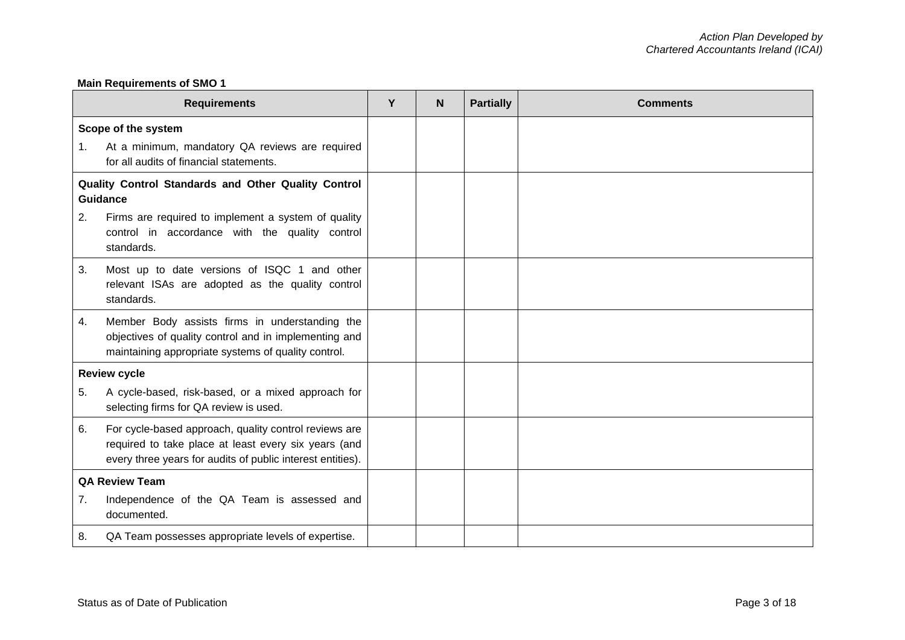## **Main Requirements of SMO 1**

| <b>Requirements</b>   |                                                                                                                                                                             |  | N | <b>Partially</b> | <b>Comments</b> |
|-----------------------|-----------------------------------------------------------------------------------------------------------------------------------------------------------------------------|--|---|------------------|-----------------|
| $\mathbf{1}$ .        | Scope of the system<br>At a minimum, mandatory QA reviews are required<br>for all audits of financial statements.                                                           |  |   |                  |                 |
|                       | Quality Control Standards and Other Quality Control<br><b>Guidance</b>                                                                                                      |  |   |                  |                 |
| 2.                    | Firms are required to implement a system of quality<br>control in accordance with the quality control<br>standards.                                                         |  |   |                  |                 |
| 3.                    | Most up to date versions of ISQC 1 and other<br>relevant ISAs are adopted as the quality control<br>standards.                                                              |  |   |                  |                 |
| 4.                    | Member Body assists firms in understanding the<br>objectives of quality control and in implementing and<br>maintaining appropriate systems of quality control.              |  |   |                  |                 |
|                       | <b>Review cycle</b>                                                                                                                                                         |  |   |                  |                 |
| 5.                    | A cycle-based, risk-based, or a mixed approach for<br>selecting firms for QA review is used.                                                                                |  |   |                  |                 |
| 6.                    | For cycle-based approach, quality control reviews are<br>required to take place at least every six years (and<br>every three years for audits of public interest entities). |  |   |                  |                 |
| <b>QA Review Team</b> |                                                                                                                                                                             |  |   |                  |                 |
| 7.                    | Independence of the QA Team is assessed and<br>documented.                                                                                                                  |  |   |                  |                 |
| 8.                    | QA Team possesses appropriate levels of expertise.                                                                                                                          |  |   |                  |                 |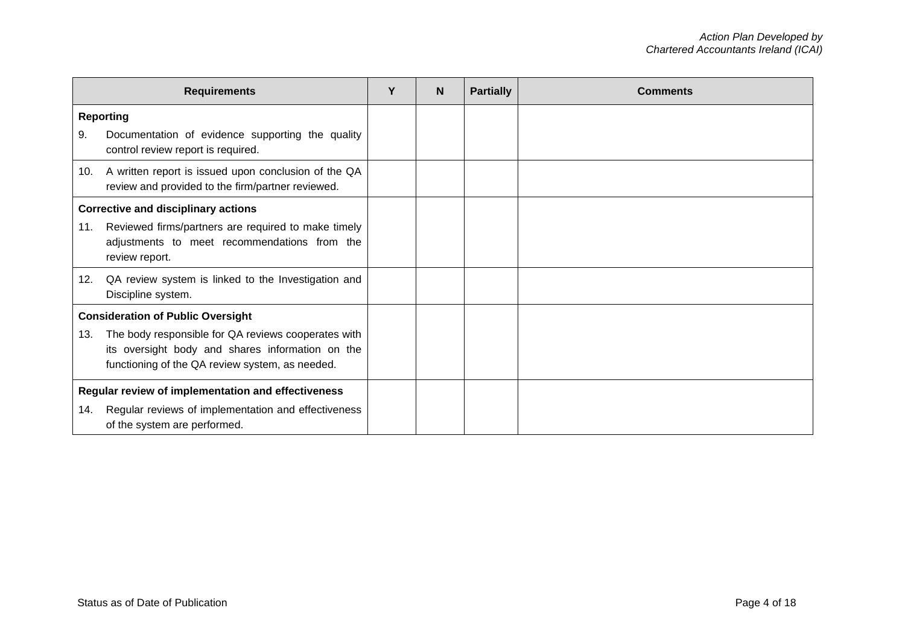|                                                    | <b>Requirements</b>                                                                                                                                        | Y | N | <b>Partially</b> | <b>Comments</b> |
|----------------------------------------------------|------------------------------------------------------------------------------------------------------------------------------------------------------------|---|---|------------------|-----------------|
|                                                    | <b>Reporting</b>                                                                                                                                           |   |   |                  |                 |
| 9.                                                 | Documentation of evidence supporting the quality<br>control review report is required.                                                                     |   |   |                  |                 |
| 10.                                                | A written report is issued upon conclusion of the QA<br>review and provided to the firm/partner reviewed.                                                  |   |   |                  |                 |
|                                                    | <b>Corrective and disciplinary actions</b>                                                                                                                 |   |   |                  |                 |
| 11.                                                | Reviewed firms/partners are required to make timely<br>adjustments to meet recommendations from the<br>review report.                                      |   |   |                  |                 |
| 12.                                                | QA review system is linked to the Investigation and<br>Discipline system.                                                                                  |   |   |                  |                 |
|                                                    | <b>Consideration of Public Oversight</b>                                                                                                                   |   |   |                  |                 |
| 13.                                                | The body responsible for QA reviews cooperates with<br>its oversight body and shares information on the<br>functioning of the QA review system, as needed. |   |   |                  |                 |
| Regular review of implementation and effectiveness |                                                                                                                                                            |   |   |                  |                 |
| 14.                                                | Regular reviews of implementation and effectiveness<br>of the system are performed.                                                                        |   |   |                  |                 |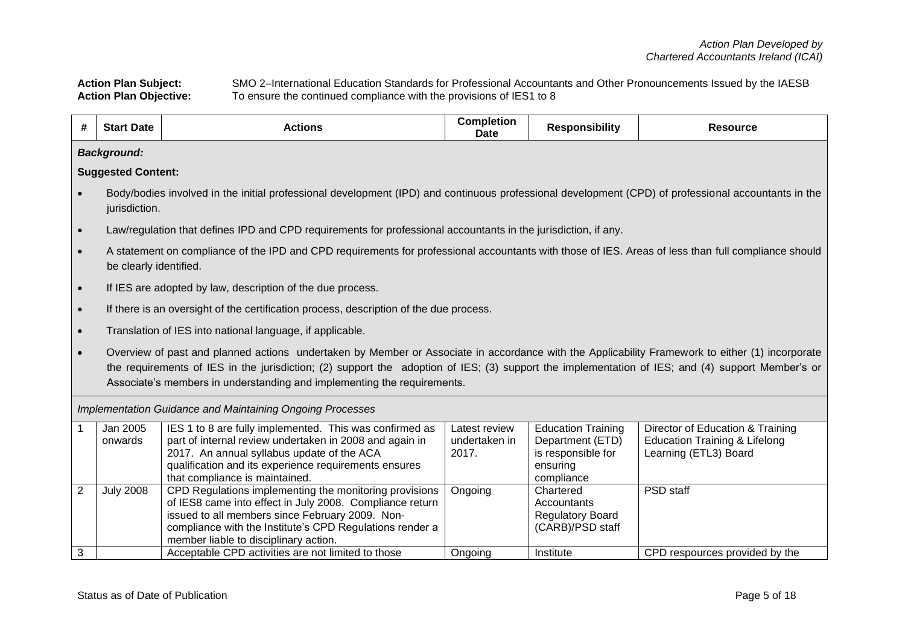Action Plan Subject: SMO 2–International Education Standards for Professional Accountants and Other Pronouncements Issued by the IAESB<br>Action Plan Objective: To ensure the continued compliance with the provisions of IES1 t To ensure the continued compliance with the provisions of IES1 to 8

| #                   | <b>Start Date</b>         | <b>Actions</b>                                                                                                                                                                                                                                                                                                                                                                 | <b>Completion</b><br><b>Date</b>        | <b>Responsibility</b>                                                                         | <b>Resource</b>                                                                                       |  |  |  |
|---------------------|---------------------------|--------------------------------------------------------------------------------------------------------------------------------------------------------------------------------------------------------------------------------------------------------------------------------------------------------------------------------------------------------------------------------|-----------------------------------------|-----------------------------------------------------------------------------------------------|-------------------------------------------------------------------------------------------------------|--|--|--|
|                     | <b>Background:</b>        |                                                                                                                                                                                                                                                                                                                                                                                |                                         |                                                                                               |                                                                                                       |  |  |  |
|                     | <b>Suggested Content:</b> |                                                                                                                                                                                                                                                                                                                                                                                |                                         |                                                                                               |                                                                                                       |  |  |  |
|                     | jurisdiction.             | Body/bodies involved in the initial professional development (IPD) and continuous professional development (CPD) of professional accountants in the                                                                                                                                                                                                                            |                                         |                                                                                               |                                                                                                       |  |  |  |
| $\bullet$           |                           | Law/regulation that defines IPD and CPD requirements for professional accountants in the jurisdiction, if any.                                                                                                                                                                                                                                                                 |                                         |                                                                                               |                                                                                                       |  |  |  |
| $\bullet$           | be clearly identified.    | A statement on compliance of the IPD and CPD requirements for professional accountants with those of IES. Areas of less than full compliance should                                                                                                                                                                                                                            |                                         |                                                                                               |                                                                                                       |  |  |  |
| $\bullet$           |                           | If IES are adopted by law, description of the due process.                                                                                                                                                                                                                                                                                                                     |                                         |                                                                                               |                                                                                                       |  |  |  |
| $\bullet$           |                           | If there is an oversight of the certification process, description of the due process.                                                                                                                                                                                                                                                                                         |                                         |                                                                                               |                                                                                                       |  |  |  |
| $\bullet$           |                           | Translation of IES into national language, if applicable.                                                                                                                                                                                                                                                                                                                      |                                         |                                                                                               |                                                                                                       |  |  |  |
|                     |                           | Overview of past and planned actions undertaken by Member or Associate in accordance with the Applicability Framework to either (1) incorporate<br>the requirements of IES in the jurisdiction; (2) support the adoption of IES; (3) support the implementation of IES; and (4) support Member's or<br>Associate's members in understanding and implementing the requirements. |                                         |                                                                                               |                                                                                                       |  |  |  |
|                     |                           | Implementation Guidance and Maintaining Ongoing Processes                                                                                                                                                                                                                                                                                                                      |                                         |                                                                                               |                                                                                                       |  |  |  |
|                     | Jan 2005<br>onwards       | IES 1 to 8 are fully implemented. This was confirmed as<br>part of internal review undertaken in 2008 and again in<br>2017. An annual syllabus update of the ACA<br>qualification and its experience requirements ensures<br>that compliance is maintained.                                                                                                                    | Latest review<br>undertaken in<br>2017. | <b>Education Training</b><br>Department (ETD)<br>is responsible for<br>ensuring<br>compliance | Director of Education & Training<br><b>Education Training &amp; Lifelong</b><br>Learning (ETL3) Board |  |  |  |
| $\overline{2}$<br>3 | <b>July 2008</b>          | CPD Regulations implementing the monitoring provisions<br>of IES8 came into effect in July 2008. Compliance return<br>issued to all members since February 2009. Non-<br>compliance with the Institute's CPD Regulations render a<br>member liable to disciplinary action.<br>Acceptable CPD activities are not limited to those                                               | Ongoing<br>Ongoing                      | Chartered<br>Accountants<br><b>Regulatory Board</b><br>(CARB)/PSD staff<br>Institute          | PSD staff<br>CPD respources provided by the                                                           |  |  |  |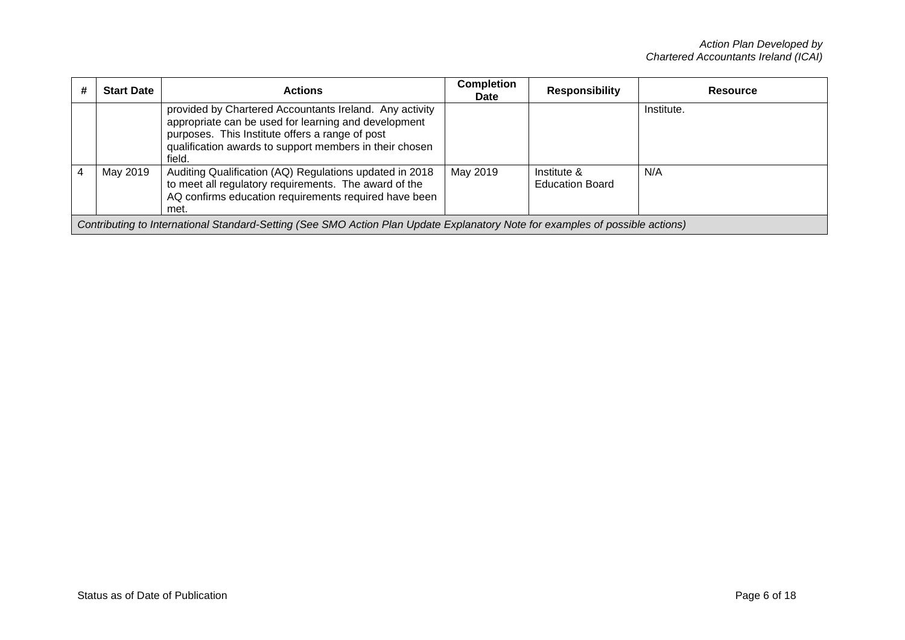| # | <b>Start Date</b>                                                                                                             | <b>Actions</b>                                                                                                                                                                                                                          | <b>Completion</b><br>Date | <b>Responsibility</b>                 | Resource   |  |  |
|---|-------------------------------------------------------------------------------------------------------------------------------|-----------------------------------------------------------------------------------------------------------------------------------------------------------------------------------------------------------------------------------------|---------------------------|---------------------------------------|------------|--|--|
|   |                                                                                                                               | provided by Chartered Accountants Ireland. Any activity<br>appropriate can be used for learning and development<br>purposes. This Institute offers a range of post<br>qualification awards to support members in their chosen<br>field. |                           |                                       | Institute. |  |  |
|   | May 2019                                                                                                                      | Auditing Qualification (AQ) Regulations updated in 2018<br>to meet all regulatory requirements. The award of the<br>AQ confirms education requirements required have been<br>met.                                                       | May 2019                  | Institute &<br><b>Education Board</b> | N/A        |  |  |
|   | Contributing to International Standard-Setting (See SMO Action Plan Update Explanatory Note for examples of possible actions) |                                                                                                                                                                                                                                         |                           |                                       |            |  |  |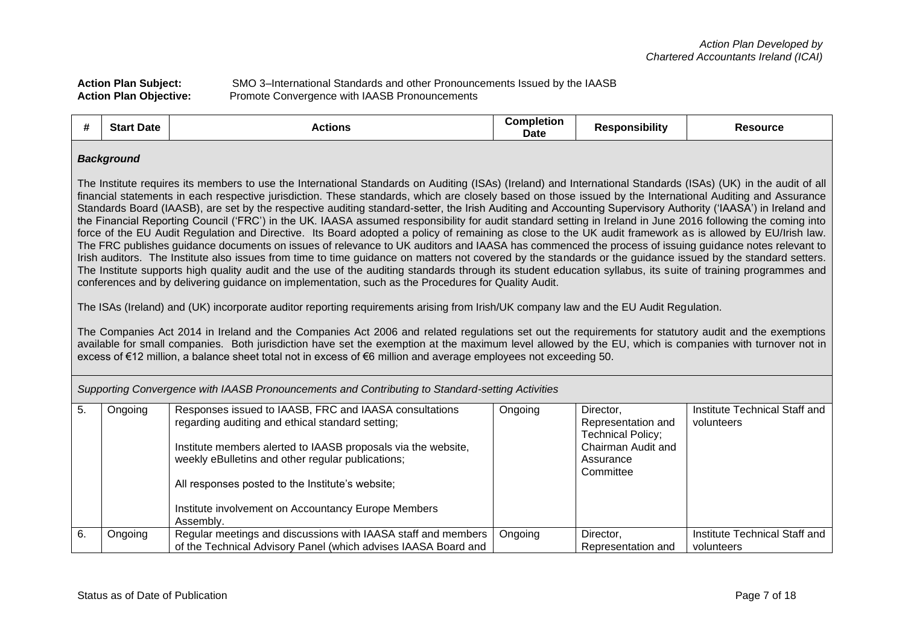| <b>Action Plan Subject:</b>   | SMO 3–International Standards and other Pronouncements Issued by the IAASB |
|-------------------------------|----------------------------------------------------------------------------|
| <b>Action Plan Objective:</b> | Promote Convergence with IAASB Pronouncements                              |

| #                                                                                                | <b>Start Date</b>                                                                                                                                                                                                                                                                                                                                                                                                                                                                                                                                                                                                                                                                                                                                                                                                                                                                                                                                                                                                                                                                                                                                                                                                                                                                                                                                                                                                                                                                                                                                                                                                                                                                                                                                                                                                                                                                                                                                                                                                              | <b>Actions</b>                                                                                                                                                                                                                                                                                                                                           | <b>Completion</b><br><b>Date</b> | <b>Responsibility</b>                                                                                       | <b>Resource</b>                             |  |  |
|--------------------------------------------------------------------------------------------------|--------------------------------------------------------------------------------------------------------------------------------------------------------------------------------------------------------------------------------------------------------------------------------------------------------------------------------------------------------------------------------------------------------------------------------------------------------------------------------------------------------------------------------------------------------------------------------------------------------------------------------------------------------------------------------------------------------------------------------------------------------------------------------------------------------------------------------------------------------------------------------------------------------------------------------------------------------------------------------------------------------------------------------------------------------------------------------------------------------------------------------------------------------------------------------------------------------------------------------------------------------------------------------------------------------------------------------------------------------------------------------------------------------------------------------------------------------------------------------------------------------------------------------------------------------------------------------------------------------------------------------------------------------------------------------------------------------------------------------------------------------------------------------------------------------------------------------------------------------------------------------------------------------------------------------------------------------------------------------------------------------------------------------|----------------------------------------------------------------------------------------------------------------------------------------------------------------------------------------------------------------------------------------------------------------------------------------------------------------------------------------------------------|----------------------------------|-------------------------------------------------------------------------------------------------------------|---------------------------------------------|--|--|
| Supporting Convergence with IAASB Pronouncements and Contributing to Standard-setting Activities | <b>Background</b><br>The Institute requires its members to use the International Standards on Auditing (ISAs) (Ireland) and International Standards (ISAs) (UK) in the audit of all<br>financial statements in each respective jurisdiction. These standards, which are closely based on those issued by the International Auditing and Assurance<br>Standards Board (IAASB), are set by the respective auditing standard-setter, the Irish Auditing and Accounting Supervisory Authority ('IAASA') in Ireland and<br>the Financial Reporting Council ('FRC') in the UK. IAASA assumed responsibility for audit standard setting in Ireland in June 2016 following the coming into<br>force of the EU Audit Regulation and Directive. Its Board adopted a policy of remaining as close to the UK audit framework as is allowed by EU/Irish law.<br>The FRC publishes guidance documents on issues of relevance to UK auditors and IAASA has commenced the process of issuing guidance notes relevant to<br>Irish auditors. The Institute also issues from time to time guidance on matters not covered by the standards or the guidance issued by the standard setters.<br>The Institute supports high quality audit and the use of the auditing standards through its student education syllabus, its suite of training programmes and<br>conferences and by delivering guidance on implementation, such as the Procedures for Quality Audit.<br>The ISAs (Ireland) and (UK) incorporate auditor reporting requirements arising from Irish/UK company law and the EU Audit Regulation.<br>The Companies Act 2014 in Ireland and the Companies Act 2006 and related regulations set out the requirements for statutory audit and the exemptions<br>available for small companies. Both jurisdiction have set the exemption at the maximum level allowed by the EU, which is companies with turnover not in<br>excess of €12 million, a balance sheet total not in excess of €6 million and average employees not exceeding 50. |                                                                                                                                                                                                                                                                                                                                                          |                                  |                                                                                                             |                                             |  |  |
| 5.                                                                                               | Ongoing                                                                                                                                                                                                                                                                                                                                                                                                                                                                                                                                                                                                                                                                                                                                                                                                                                                                                                                                                                                                                                                                                                                                                                                                                                                                                                                                                                                                                                                                                                                                                                                                                                                                                                                                                                                                                                                                                                                                                                                                                        | Responses issued to IAASB, FRC and IAASA consultations<br>regarding auditing and ethical standard setting;<br>Institute members alerted to IAASB proposals via the website,<br>weekly eBulletins and other regular publications;<br>All responses posted to the Institute's website;<br>Institute involvement on Accountancy Europe Members<br>Assembly. | Ongoing                          | Director,<br>Representation and<br><b>Technical Policy;</b><br>Chairman Audit and<br>Assurance<br>Committee | Institute Technical Staff and<br>volunteers |  |  |
| 6.                                                                                               | Ongoing                                                                                                                                                                                                                                                                                                                                                                                                                                                                                                                                                                                                                                                                                                                                                                                                                                                                                                                                                                                                                                                                                                                                                                                                                                                                                                                                                                                                                                                                                                                                                                                                                                                                                                                                                                                                                                                                                                                                                                                                                        | Regular meetings and discussions with IAASA staff and members<br>of the Technical Advisory Panel (which advises IAASA Board and                                                                                                                                                                                                                          | Ongoing                          | Director,<br>Representation and                                                                             | Institute Technical Staff and<br>volunteers |  |  |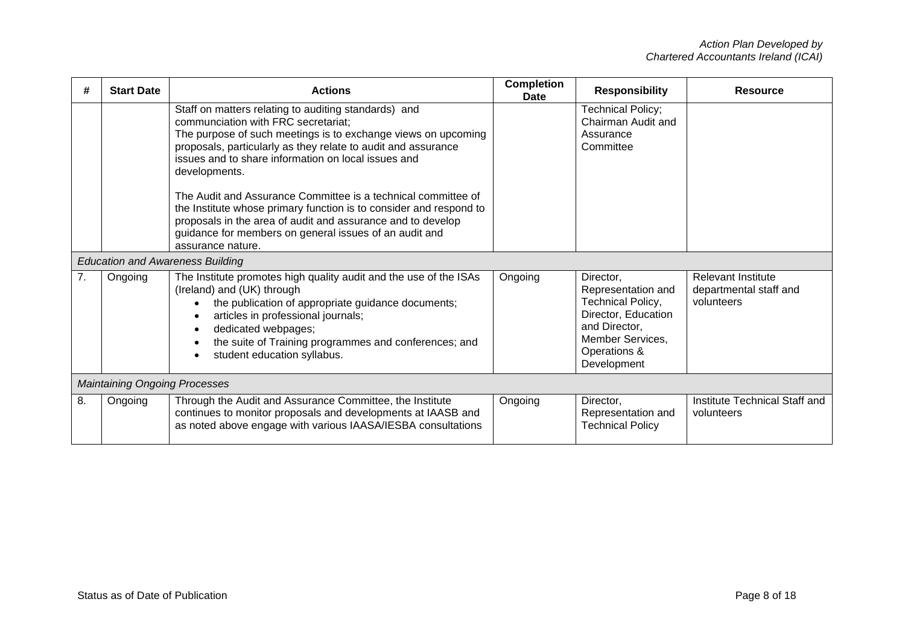| #              | <b>Start Date</b>                    | <b>Actions</b>                                                                                                                                                                                                                                                                                             | <b>Completion</b><br>Date | <b>Responsibility</b>                                                                                                                                  | <b>Resource</b>                                                   |  |  |
|----------------|--------------------------------------|------------------------------------------------------------------------------------------------------------------------------------------------------------------------------------------------------------------------------------------------------------------------------------------------------------|---------------------------|--------------------------------------------------------------------------------------------------------------------------------------------------------|-------------------------------------------------------------------|--|--|
|                |                                      | Staff on matters relating to auditing standards) and<br>communciation with FRC secretariat;<br>The purpose of such meetings is to exchange views on upcoming<br>proposals, particularly as they relate to audit and assurance<br>issues and to share information on local issues and<br>developments.      |                           | <b>Technical Policy;</b><br>Chairman Audit and<br>Assurance<br>Committee                                                                               |                                                                   |  |  |
|                |                                      | The Audit and Assurance Committee is a technical committee of<br>the Institute whose primary function is to consider and respond to<br>proposals in the area of audit and assurance and to develop<br>guidance for members on general issues of an audit and<br>assurance nature.                          |                           |                                                                                                                                                        |                                                                   |  |  |
|                |                                      | <b>Education and Awareness Building</b>                                                                                                                                                                                                                                                                    |                           |                                                                                                                                                        |                                                                   |  |  |
| 7 <sub>1</sub> | Ongoing                              | The Institute promotes high quality audit and the use of the ISAs<br>(Ireland) and (UK) through<br>the publication of appropriate guidance documents;<br>articles in professional journals;<br>dedicated webpages;<br>the suite of Training programmes and conferences; and<br>student education syllabus. | Ongoing                   | Director,<br>Representation and<br><b>Technical Policy,</b><br>Director, Education<br>and Director,<br>Member Services,<br>Operations &<br>Development | <b>Relevant Institute</b><br>departmental staff and<br>volunteers |  |  |
|                | <b>Maintaining Ongoing Processes</b> |                                                                                                                                                                                                                                                                                                            |                           |                                                                                                                                                        |                                                                   |  |  |
| 8.             | Ongoing                              | Through the Audit and Assurance Committee, the Institute<br>continues to monitor proposals and developments at IAASB and<br>as noted above engage with various IAASA/IESBA consultations                                                                                                                   | Ongoing                   | Director,<br>Representation and<br><b>Technical Policy</b>                                                                                             | Institute Technical Staff and<br>volunteers                       |  |  |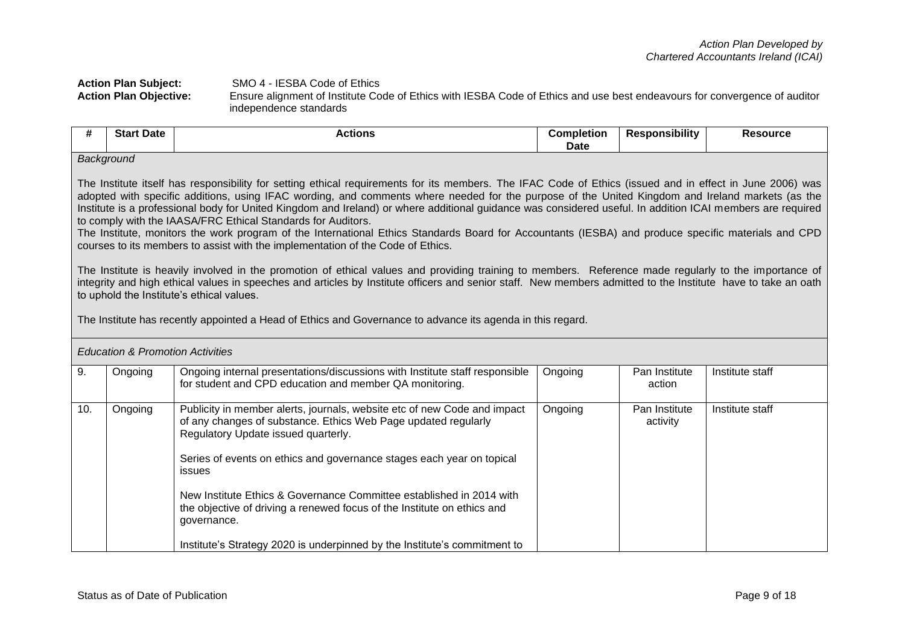## Action Plan Subject: SMO 4 - IESBA Code of Ethics<br>Action Plan Objective: Ensure alignment of Institute Co **Action Plan Objective:** Ensure alignment of Institute Code of Ethics with IESBA Code of Ethics and use best endeavours for convergence of auditor independence standards

| #                                           | <b>Start Date</b>                                                                                                                                                                                                                                                                                                                                                                                                                                                                                                                                                                                                                                                                                                                                                                                   | <b>Actions</b>                                                                                                                                                                                                                                                                                                                                                                                                                                                                                                      | <b>Completion</b><br>Date | <b>Responsibility</b>     | <b>Resource</b> |  |  |  |
|---------------------------------------------|-----------------------------------------------------------------------------------------------------------------------------------------------------------------------------------------------------------------------------------------------------------------------------------------------------------------------------------------------------------------------------------------------------------------------------------------------------------------------------------------------------------------------------------------------------------------------------------------------------------------------------------------------------------------------------------------------------------------------------------------------------------------------------------------------------|---------------------------------------------------------------------------------------------------------------------------------------------------------------------------------------------------------------------------------------------------------------------------------------------------------------------------------------------------------------------------------------------------------------------------------------------------------------------------------------------------------------------|---------------------------|---------------------------|-----------------|--|--|--|
|                                             | Background<br>The Institute itself has responsibility for setting ethical requirements for its members. The IFAC Code of Ethics (issued and in effect in June 2006) was<br>adopted with specific additions, using IFAC wording, and comments where needed for the purpose of the United Kingdom and Ireland markets (as the<br>Institute is a professional body for United Kingdom and Ireland) or where additional guidance was considered useful. In addition ICAI members are required<br>to comply with the IAASA/FRC Ethical Standards for Auditors.<br>The Institute, monitors the work program of the International Ethics Standards Board for Accountants (IESBA) and produce specific materials and CPD<br>courses to its members to assist with the implementation of the Code of Ethics. |                                                                                                                                                                                                                                                                                                                                                                                                                                                                                                                     |                           |                           |                 |  |  |  |
| <b>Education &amp; Promotion Activities</b> | The Institute is heavily involved in the promotion of ethical values and providing training to members. Reference made regularly to the importance of<br>integrity and high ethical values in speeches and articles by Institute officers and senior staff. New members admitted to the Institute have to take an oath<br>to uphold the Institute's ethical values.<br>The Institute has recently appointed a Head of Ethics and Governance to advance its agenda in this regard.                                                                                                                                                                                                                                                                                                                   |                                                                                                                                                                                                                                                                                                                                                                                                                                                                                                                     |                           |                           |                 |  |  |  |
| 9.                                          | Ongoing                                                                                                                                                                                                                                                                                                                                                                                                                                                                                                                                                                                                                                                                                                                                                                                             | Ongoing internal presentations/discussions with Institute staff responsible<br>for student and CPD education and member QA monitoring.                                                                                                                                                                                                                                                                                                                                                                              | Ongoing                   | Pan Institute<br>action   | Institute staff |  |  |  |
| 10.                                         | Ongoing                                                                                                                                                                                                                                                                                                                                                                                                                                                                                                                                                                                                                                                                                                                                                                                             | Publicity in member alerts, journals, website etc of new Code and impact<br>of any changes of substance. Ethics Web Page updated regularly<br>Regulatory Update issued quarterly.<br>Series of events on ethics and governance stages each year on topical<br>issues<br>New Institute Ethics & Governance Committee established in 2014 with<br>the objective of driving a renewed focus of the Institute on ethics and<br>governance.<br>Institute's Strategy 2020 is underpinned by the Institute's commitment to | Ongoing                   | Pan Institute<br>activity | Institute staff |  |  |  |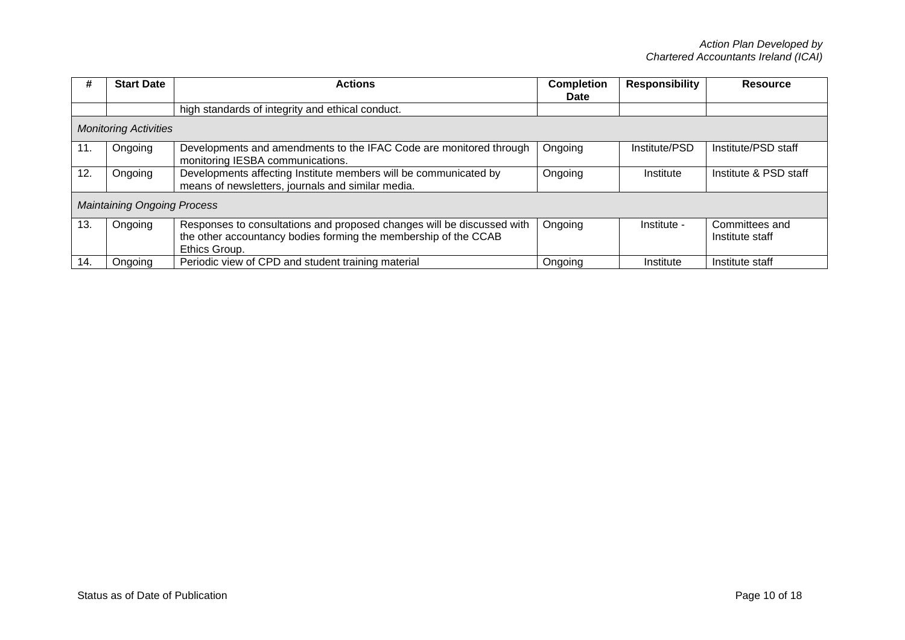| #   | <b>Start Date</b>                  | <b>Actions</b>                                                                                                                                             | <b>Completion</b><br>Date | <b>Responsibility</b> | <b>Resource</b>                   |
|-----|------------------------------------|------------------------------------------------------------------------------------------------------------------------------------------------------------|---------------------------|-----------------------|-----------------------------------|
|     |                                    | high standards of integrity and ethical conduct.                                                                                                           |                           |                       |                                   |
|     | <b>Monitoring Activities</b>       |                                                                                                                                                            |                           |                       |                                   |
| 11. | Ongoing                            | Developments and amendments to the IFAC Code are monitored through<br>monitoring IESBA communications.                                                     | Ongoing                   | Institute/PSD         | Institute/PSD staff               |
| 12. | Ongoing                            | Developments affecting Institute members will be communicated by<br>means of newsletters, journals and similar media.                                      | Ongoing                   | Institute             | Institute & PSD staff             |
|     | <b>Maintaining Ongoing Process</b> |                                                                                                                                                            |                           |                       |                                   |
| 13. | Ongoing                            | Responses to consultations and proposed changes will be discussed with<br>the other accountancy bodies forming the membership of the CCAB<br>Ethics Group. | Ongoing                   | Institute -           | Committees and<br>Institute staff |
| 14. | Ongoing                            | Periodic view of CPD and student training material                                                                                                         | Ongoing                   | Institute             | Institute staff                   |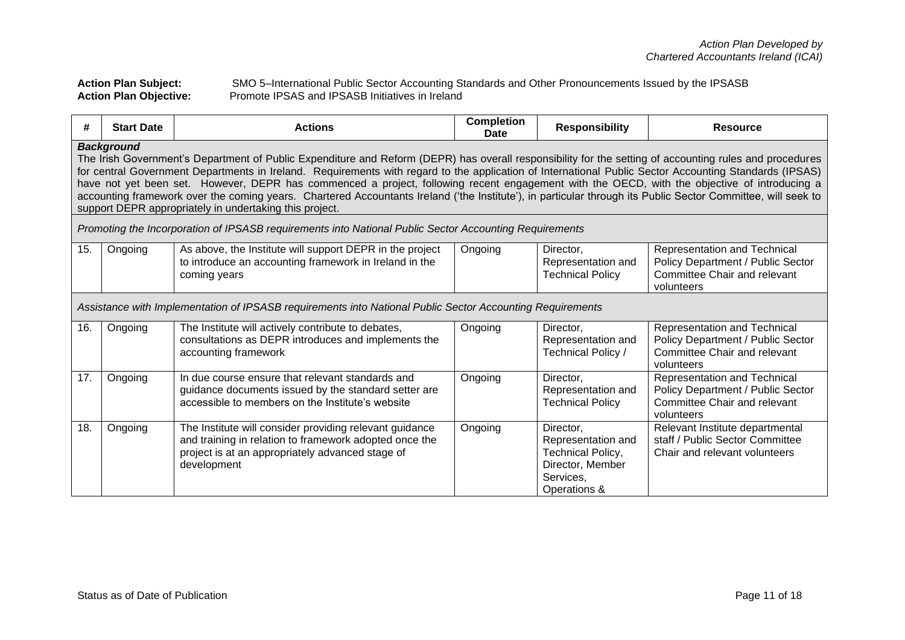**Action Plan Subject:** SMO 5–International Public Sector Accounting Standards and Other Pronouncements Issued by the IPSASB **Action Plan Objective:** Promote IPSAS and IPSASB Initiatives in Ireland

| #   | <b>Start Date</b>                                                                                                                                                                                                                                                                                                                                                                                                                                                                                                                                                                                                                                                                                                 | <b>Actions</b>                                                                                                                                                                       | <b>Completion</b><br>Date | <b>Responsibility</b>                                                                                        | <b>Resource</b>                                                                                                 |  |  |  |  |
|-----|-------------------------------------------------------------------------------------------------------------------------------------------------------------------------------------------------------------------------------------------------------------------------------------------------------------------------------------------------------------------------------------------------------------------------------------------------------------------------------------------------------------------------------------------------------------------------------------------------------------------------------------------------------------------------------------------------------------------|--------------------------------------------------------------------------------------------------------------------------------------------------------------------------------------|---------------------------|--------------------------------------------------------------------------------------------------------------|-----------------------------------------------------------------------------------------------------------------|--|--|--|--|
|     | <b>Background</b><br>The Irish Government's Department of Public Expenditure and Reform (DEPR) has overall responsibility for the setting of accounting rules and procedures<br>for central Government Departments in Ireland. Requirements with regard to the application of International Public Sector Accounting Standards (IPSAS)<br>have not yet been set. However, DEPR has commenced a project, following recent engagement with the OECD, with the objective of introducing a<br>accounting framework over the coming years. Chartered Accountants Ireland ('the Institute'), in particular through its Public Sector Committee, will seek to<br>support DEPR appropriately in undertaking this project. |                                                                                                                                                                                      |                           |                                                                                                              |                                                                                                                 |  |  |  |  |
|     |                                                                                                                                                                                                                                                                                                                                                                                                                                                                                                                                                                                                                                                                                                                   | Promoting the Incorporation of IPSASB requirements into National Public Sector Accounting Requirements                                                                               |                           |                                                                                                              |                                                                                                                 |  |  |  |  |
| 15. | Ongoing                                                                                                                                                                                                                                                                                                                                                                                                                                                                                                                                                                                                                                                                                                           | As above, the Institute will support DEPR in the project<br>to introduce an accounting framework in Ireland in the<br>coming years                                                   | Ongoing                   | Director,<br>Representation and<br><b>Technical Policy</b>                                                   | Representation and Technical<br>Policy Department / Public Sector<br>Committee Chair and relevant<br>volunteers |  |  |  |  |
|     |                                                                                                                                                                                                                                                                                                                                                                                                                                                                                                                                                                                                                                                                                                                   | Assistance with Implementation of IPSASB requirements into National Public Sector Accounting Requirements                                                                            |                           |                                                                                                              |                                                                                                                 |  |  |  |  |
| 16. | Ongoing                                                                                                                                                                                                                                                                                                                                                                                                                                                                                                                                                                                                                                                                                                           | The Institute will actively contribute to debates,<br>consultations as DEPR introduces and implements the<br>accounting framework                                                    | Ongoing                   | Director,<br>Representation and<br>Technical Policy /                                                        | Representation and Technical<br>Policy Department / Public Sector<br>Committee Chair and relevant<br>volunteers |  |  |  |  |
| 17. | Ongoing                                                                                                                                                                                                                                                                                                                                                                                                                                                                                                                                                                                                                                                                                                           | In due course ensure that relevant standards and<br>guidance documents issued by the standard setter are<br>accessible to members on the Institute's website                         | Ongoing                   | Director,<br>Representation and<br><b>Technical Policy</b>                                                   | Representation and Technical<br>Policy Department / Public Sector<br>Committee Chair and relevant<br>volunteers |  |  |  |  |
| 18. | Ongoing                                                                                                                                                                                                                                                                                                                                                                                                                                                                                                                                                                                                                                                                                                           | The Institute will consider providing relevant guidance<br>and training in relation to framework adopted once the<br>project is at an appropriately advanced stage of<br>development | Ongoing                   | Director,<br>Representation and<br><b>Technical Policy,</b><br>Director, Member<br>Services.<br>Operations & | Relevant Institute departmental<br>staff / Public Sector Committee<br>Chair and relevant volunteers             |  |  |  |  |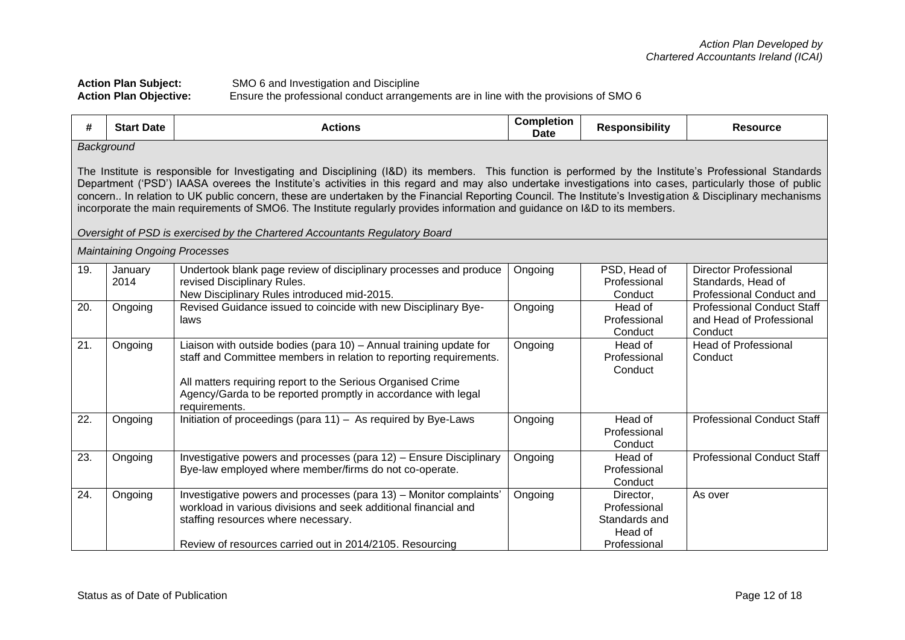# Action Plan Subject: SMO 6 and Investigation and Discipline<br>Action Plan Objective: Ensure the professional conduct arrange **Action Plan Objective:** Ensure the professional conduct arrangements are in line with the provisions of SMO 6

| #   | <b>Start Date</b>                                                                                                                                                                                                                                                                                                                                                                                                                                                                                                                                                                                                                                                                                              | <b>Actions</b>                                                                                                                                                                                                                                                                            | <b>Completion</b><br><b>Date</b> | <b>Responsibility</b>                                                 | <b>Resource</b>                                                                |  |  |  |
|-----|----------------------------------------------------------------------------------------------------------------------------------------------------------------------------------------------------------------------------------------------------------------------------------------------------------------------------------------------------------------------------------------------------------------------------------------------------------------------------------------------------------------------------------------------------------------------------------------------------------------------------------------------------------------------------------------------------------------|-------------------------------------------------------------------------------------------------------------------------------------------------------------------------------------------------------------------------------------------------------------------------------------------|----------------------------------|-----------------------------------------------------------------------|--------------------------------------------------------------------------------|--|--|--|
|     | Background<br>The Institute is responsible for Investigating and Disciplining (I&D) its members. This function is performed by the Institute's Professional Standards<br>Department ('PSD') IAASA overees the Institute's activities in this regard and may also undertake investigations into cases, particularly those of public<br>concern In relation to UK public concern, these are undertaken by the Financial Reporting Council. The Institute's Investigation & Disciplinary mechanisms<br>incorporate the main requirements of SMO6. The Institute regularly provides information and guidance on I&D to its members.<br>Oversight of PSD is exercised by the Chartered Accountants Regulatory Board |                                                                                                                                                                                                                                                                                           |                                  |                                                                       |                                                                                |  |  |  |
|     | <b>Maintaining Ongoing Processes</b>                                                                                                                                                                                                                                                                                                                                                                                                                                                                                                                                                                                                                                                                           |                                                                                                                                                                                                                                                                                           |                                  |                                                                       |                                                                                |  |  |  |
| 19. | January<br>2014                                                                                                                                                                                                                                                                                                                                                                                                                                                                                                                                                                                                                                                                                                | Undertook blank page review of disciplinary processes and produce<br>revised Disciplinary Rules.<br>New Disciplinary Rules introduced mid-2015.                                                                                                                                           | Ongoing                          | PSD, Head of<br>Professional<br>Conduct                               | <b>Director Professional</b><br>Standards, Head of<br>Professional Conduct and |  |  |  |
| 20. | Ongoing                                                                                                                                                                                                                                                                                                                                                                                                                                                                                                                                                                                                                                                                                                        | Revised Guidance issued to coincide with new Disciplinary Bye-<br>laws                                                                                                                                                                                                                    | Ongoing                          | Head of<br>Professional<br>Conduct                                    | <b>Professional Conduct Staff</b><br>and Head of Professional<br>Conduct       |  |  |  |
| 21. | Ongoing                                                                                                                                                                                                                                                                                                                                                                                                                                                                                                                                                                                                                                                                                                        | Liaison with outside bodies (para 10) - Annual training update for<br>staff and Committee members in relation to reporting requirements.<br>All matters requiring report to the Serious Organised Crime<br>Agency/Garda to be reported promptly in accordance with legal<br>requirements. | Ongoing                          | Head of<br>Professional<br>Conduct                                    | <b>Head of Professional</b><br>Conduct                                         |  |  |  |
| 22. | Ongoing                                                                                                                                                                                                                                                                                                                                                                                                                                                                                                                                                                                                                                                                                                        | Initiation of proceedings (para 11) - As required by Bye-Laws                                                                                                                                                                                                                             | Ongoing                          | Head of<br>Professional<br>Conduct                                    | <b>Professional Conduct Staff</b>                                              |  |  |  |
| 23. | Ongoing                                                                                                                                                                                                                                                                                                                                                                                                                                                                                                                                                                                                                                                                                                        | Investigative powers and processes (para 12) - Ensure Disciplinary<br>Bye-law employed where member/firms do not co-operate.                                                                                                                                                              | Ongoing                          | Head of<br>Professional<br>Conduct                                    | <b>Professional Conduct Staff</b>                                              |  |  |  |
| 24. | Ongoing                                                                                                                                                                                                                                                                                                                                                                                                                                                                                                                                                                                                                                                                                                        | Investigative powers and processes (para 13) - Monitor complaints'<br>workload in various divisions and seek additional financial and<br>staffing resources where necessary.<br>Review of resources carried out in 2014/2105. Resourcing                                                  | Ongoing                          | Director,<br>Professional<br>Standards and<br>Head of<br>Professional | As over                                                                        |  |  |  |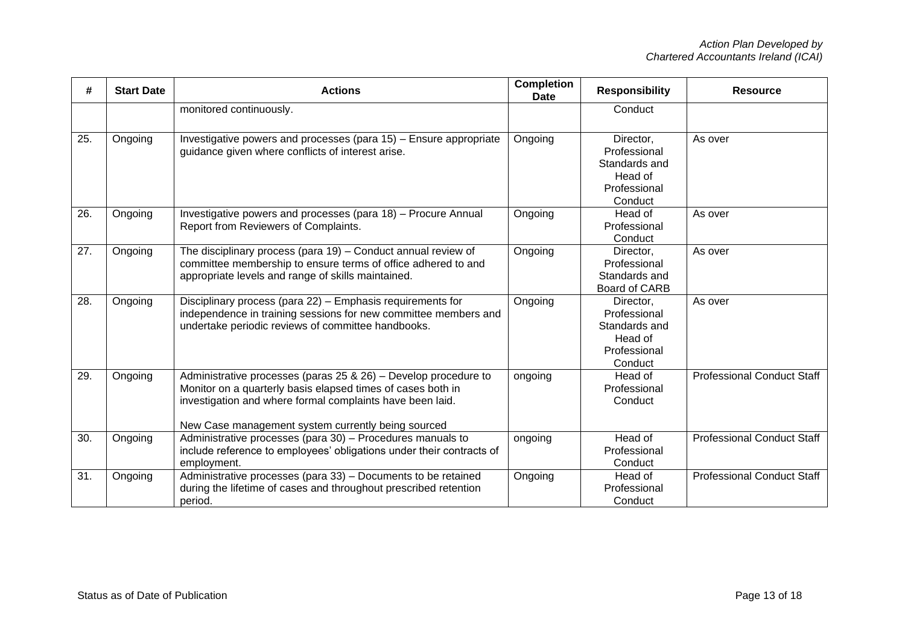| #   | <b>Start Date</b> | <b>Actions</b>                                                                                                                                                                                                                                    | <b>Completion</b><br><b>Date</b> | <b>Responsibility</b>                                                            | <b>Resource</b>                   |
|-----|-------------------|---------------------------------------------------------------------------------------------------------------------------------------------------------------------------------------------------------------------------------------------------|----------------------------------|----------------------------------------------------------------------------------|-----------------------------------|
|     |                   | monitored continuously.                                                                                                                                                                                                                           |                                  | Conduct                                                                          |                                   |
| 25. | Ongoing           | Investigative powers and processes (para 15) - Ensure appropriate<br>guidance given where conflicts of interest arise.                                                                                                                            | Ongoing                          | Director,<br>Professional<br>Standards and<br>Head of<br>Professional<br>Conduct | As over                           |
| 26. | Ongoing           | Investigative powers and processes (para 18) - Procure Annual<br>Report from Reviewers of Complaints.                                                                                                                                             | Ongoing                          | Head of<br>Professional<br>Conduct                                               | As over                           |
| 27. | Ongoing           | The disciplinary process (para 19) - Conduct annual review of<br>committee membership to ensure terms of office adhered to and<br>appropriate levels and range of skills maintained.                                                              | Ongoing                          | Director,<br>Professional<br>Standards and<br>Board of CARB                      | As over                           |
| 28. | Ongoing           | Disciplinary process (para 22) - Emphasis requirements for<br>independence in training sessions for new committee members and<br>undertake periodic reviews of committee handbooks.                                                               | Ongoing                          | Director,<br>Professional<br>Standards and<br>Head of<br>Professional<br>Conduct | As over                           |
| 29. | Ongoing           | Administrative processes (paras 25 & 26) - Develop procedure to<br>Monitor on a quarterly basis elapsed times of cases both in<br>investigation and where formal complaints have been laid.<br>New Case management system currently being sourced | ongoing                          | Head of<br>Professional<br>Conduct                                               | <b>Professional Conduct Staff</b> |
| 30. | Ongoing           | Administrative processes (para 30) - Procedures manuals to<br>include reference to employees' obligations under their contracts of<br>employment.                                                                                                 | ongoing                          | Head of<br>Professional<br>Conduct                                               | <b>Professional Conduct Staff</b> |
| 31. | Ongoing           | Administrative processes (para 33) - Documents to be retained<br>during the lifetime of cases and throughout prescribed retention<br>period.                                                                                                      | Ongoing                          | Head of<br>Professional<br>Conduct                                               | <b>Professional Conduct Staff</b> |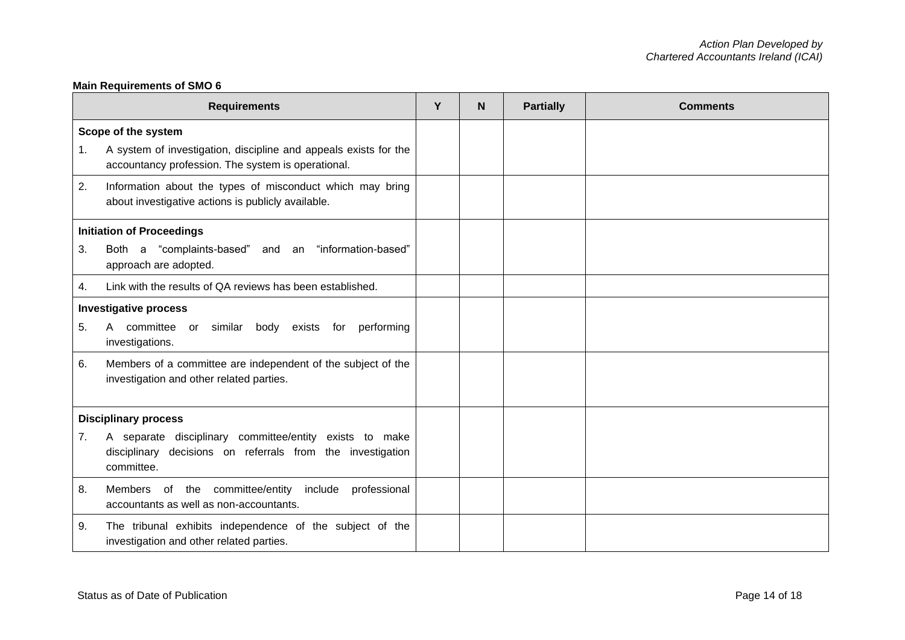# **Main Requirements of SMO 6**

|    | <b>Requirements</b>                                                                                                                 | Y | N | <b>Partially</b> | <b>Comments</b> |
|----|-------------------------------------------------------------------------------------------------------------------------------------|---|---|------------------|-----------------|
|    | Scope of the system                                                                                                                 |   |   |                  |                 |
| 1. | A system of investigation, discipline and appeals exists for the<br>accountancy profession. The system is operational.              |   |   |                  |                 |
| 2. | Information about the types of misconduct which may bring<br>about investigative actions is publicly available.                     |   |   |                  |                 |
|    | <b>Initiation of Proceedings</b>                                                                                                    |   |   |                  |                 |
| 3. | Both a "complaints-based" and an "information-based"<br>approach are adopted.                                                       |   |   |                  |                 |
| 4. | Link with the results of QA reviews has been established.                                                                           |   |   |                  |                 |
|    | <b>Investigative process</b>                                                                                                        |   |   |                  |                 |
| 5. | A committee or similar<br>body exists for<br>performing<br>investigations.                                                          |   |   |                  |                 |
| 6. | Members of a committee are independent of the subject of the<br>investigation and other related parties.                            |   |   |                  |                 |
|    | <b>Disciplinary process</b>                                                                                                         |   |   |                  |                 |
| 7. | A separate disciplinary committee/entity exists to make<br>disciplinary decisions on referrals from the investigation<br>committee. |   |   |                  |                 |
| 8. | Members of the committee/entity<br>include<br>professional<br>accountants as well as non-accountants.                               |   |   |                  |                 |
| 9. | The tribunal exhibits independence of the subject of the<br>investigation and other related parties.                                |   |   |                  |                 |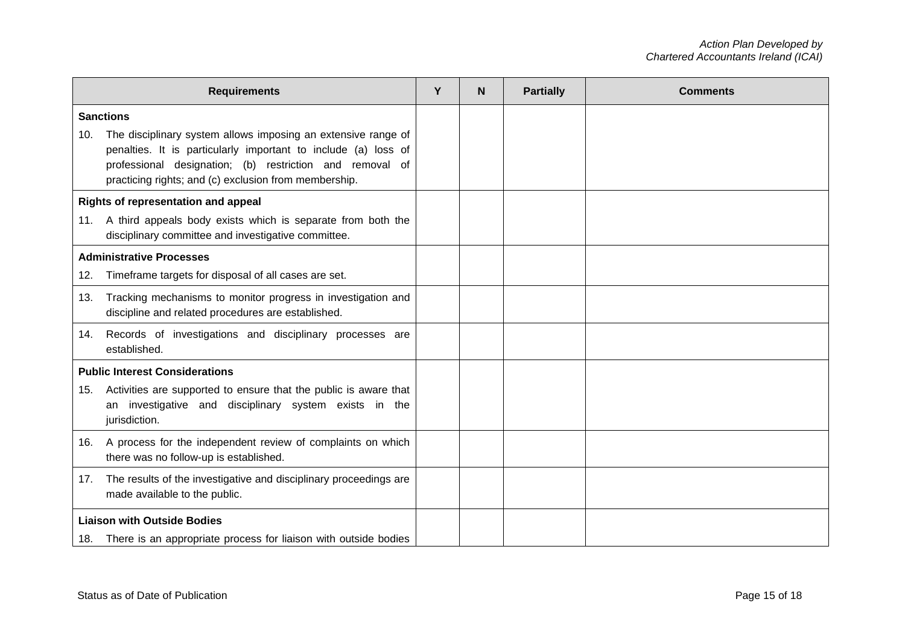|     | <b>Requirements</b>                                                                                                                                                                                                                                  | Y | N | <b>Partially</b> | <b>Comments</b> |
|-----|------------------------------------------------------------------------------------------------------------------------------------------------------------------------------------------------------------------------------------------------------|---|---|------------------|-----------------|
|     | <b>Sanctions</b>                                                                                                                                                                                                                                     |   |   |                  |                 |
| 10. | The disciplinary system allows imposing an extensive range of<br>penalties. It is particularly important to include (a) loss of<br>professional designation; (b) restriction and removal of<br>practicing rights; and (c) exclusion from membership. |   |   |                  |                 |
|     | Rights of representation and appeal                                                                                                                                                                                                                  |   |   |                  |                 |
| 11. | A third appeals body exists which is separate from both the<br>disciplinary committee and investigative committee.                                                                                                                                   |   |   |                  |                 |
|     | <b>Administrative Processes</b>                                                                                                                                                                                                                      |   |   |                  |                 |
| 12. | Timeframe targets for disposal of all cases are set.                                                                                                                                                                                                 |   |   |                  |                 |
| 13. | Tracking mechanisms to monitor progress in investigation and<br>discipline and related procedures are established.                                                                                                                                   |   |   |                  |                 |
| 14. | Records of investigations and disciplinary processes are<br>established.                                                                                                                                                                             |   |   |                  |                 |
|     | <b>Public Interest Considerations</b>                                                                                                                                                                                                                |   |   |                  |                 |
| 15. | Activities are supported to ensure that the public is aware that<br>an investigative and disciplinary system exists in the<br>jurisdiction.                                                                                                          |   |   |                  |                 |
| 16. | A process for the independent review of complaints on which<br>there was no follow-up is established.                                                                                                                                                |   |   |                  |                 |
| 17. | The results of the investigative and disciplinary proceedings are<br>made available to the public.                                                                                                                                                   |   |   |                  |                 |
|     | <b>Liaison with Outside Bodies</b>                                                                                                                                                                                                                   |   |   |                  |                 |
|     | 18. There is an appropriate process for liaison with outside bodies                                                                                                                                                                                  |   |   |                  |                 |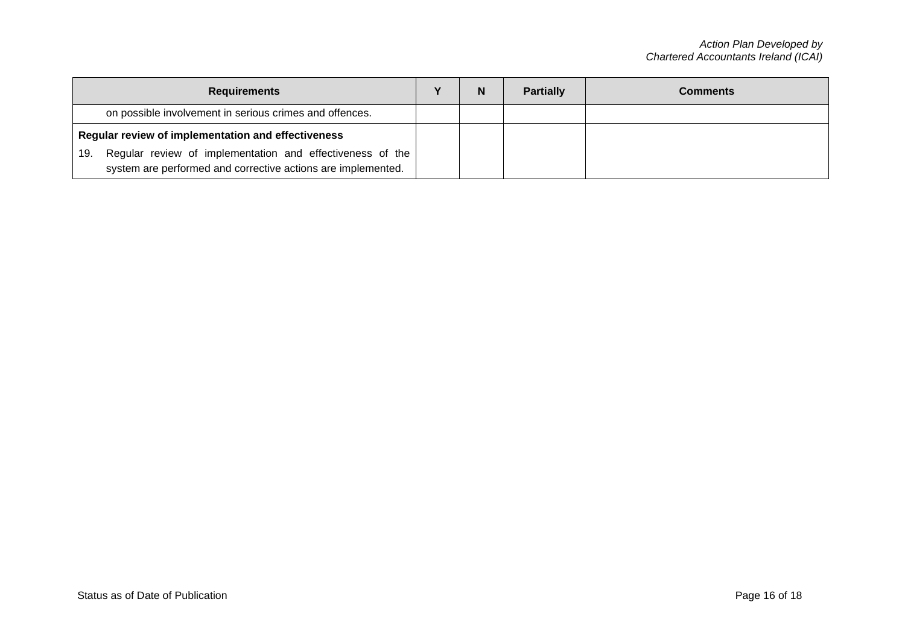| <b>Requirements</b>                                                                                                              | N | <b>Partially</b> | <b>Comments</b> |
|----------------------------------------------------------------------------------------------------------------------------------|---|------------------|-----------------|
| on possible involvement in serious crimes and offences.                                                                          |   |                  |                 |
| Regular review of implementation and effectiveness                                                                               |   |                  |                 |
| Regular review of implementation and effectiveness of the<br>19.<br>system are performed and corrective actions are implemented. |   |                  |                 |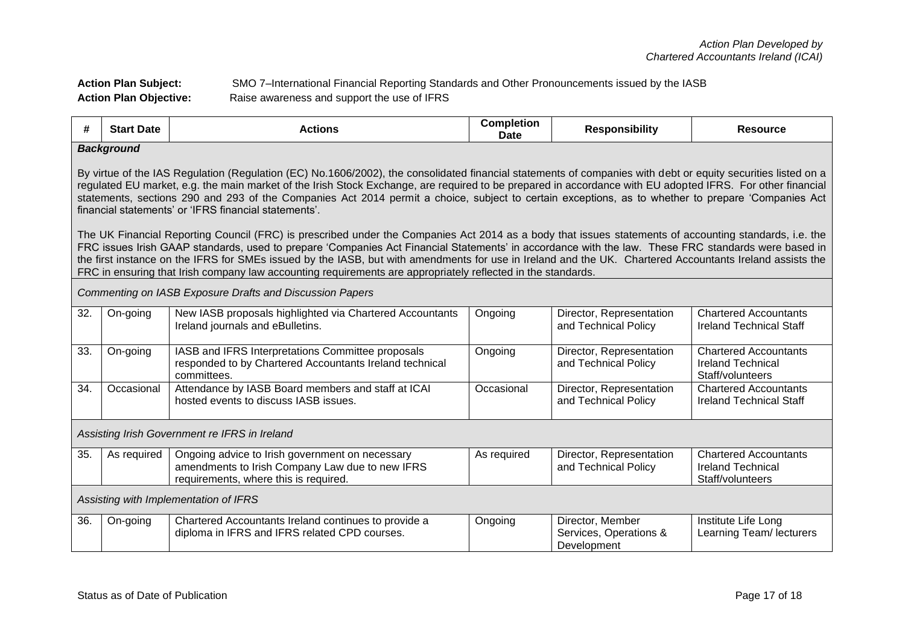# **Action Plan Subject:** SMO 7–International Financial Reporting Standards and Other Pronouncements issued by the IASB **Action Plan Objective:** Raise awareness and support the use of IFRS

| #   | <b>Start Date</b>                                                                                                                                                                                                                                                                                                                                                                                                                                                                                                                                                                         | <b>Actions</b>                                                                                                                              | <b>Completion</b><br><b>Date</b> | <b>Responsibility</b>                                     | <b>Resource</b>                                                              |  |  |  |
|-----|-------------------------------------------------------------------------------------------------------------------------------------------------------------------------------------------------------------------------------------------------------------------------------------------------------------------------------------------------------------------------------------------------------------------------------------------------------------------------------------------------------------------------------------------------------------------------------------------|---------------------------------------------------------------------------------------------------------------------------------------------|----------------------------------|-----------------------------------------------------------|------------------------------------------------------------------------------|--|--|--|
|     | <b>Background</b>                                                                                                                                                                                                                                                                                                                                                                                                                                                                                                                                                                         |                                                                                                                                             |                                  |                                                           |                                                                              |  |  |  |
|     | By virtue of the IAS Regulation (Regulation (EC) No.1606/2002), the consolidated financial statements of companies with debt or equity securities listed on a<br>regulated EU market, e.g. the main market of the Irish Stock Exchange, are required to be prepared in accordance with EU adopted IFRS. For other financial<br>statements, sections 290 and 293 of the Companies Act 2014 permit a choice, subject to certain exceptions, as to whether to prepare 'Companies Act<br>financial statements' or 'IFRS financial statements'.                                                |                                                                                                                                             |                                  |                                                           |                                                                              |  |  |  |
|     | The UK Financial Reporting Council (FRC) is prescribed under the Companies Act 2014 as a body that issues statements of accounting standards, i.e. the<br>FRC issues Irish GAAP standards, used to prepare 'Companies Act Financial Statements' in accordance with the law. These FRC standards were based in<br>the first instance on the IFRS for SMEs issued by the IASB, but with amendments for use in Ireland and the UK. Chartered Accountants Ireland assists the<br>FRC in ensuring that Irish company law accounting requirements are appropriately reflected in the standards. |                                                                                                                                             |                                  |                                                           |                                                                              |  |  |  |
|     |                                                                                                                                                                                                                                                                                                                                                                                                                                                                                                                                                                                           | Commenting on IASB Exposure Drafts and Discussion Papers                                                                                    |                                  |                                                           |                                                                              |  |  |  |
| 32. | On-going                                                                                                                                                                                                                                                                                                                                                                                                                                                                                                                                                                                  | New IASB proposals highlighted via Chartered Accountants<br>Ireland journals and eBulletins.                                                | Ongoing                          | Director, Representation<br>and Technical Policy          | <b>Chartered Accountants</b><br><b>Ireland Technical Staff</b>               |  |  |  |
| 33. | On-going                                                                                                                                                                                                                                                                                                                                                                                                                                                                                                                                                                                  | IASB and IFRS Interpretations Committee proposals<br>responded to by Chartered Accountants Ireland technical<br>committees.                 | Ongoing                          | Director, Representation<br>and Technical Policy          | <b>Chartered Accountants</b><br><b>Ireland Technical</b><br>Staff/volunteers |  |  |  |
| 34. | Occasional                                                                                                                                                                                                                                                                                                                                                                                                                                                                                                                                                                                | Attendance by IASB Board members and staff at ICAI<br>hosted events to discuss IASB issues.                                                 | Occasional                       | Director, Representation<br>and Technical Policy          | <b>Chartered Accountants</b><br><b>Ireland Technical Staff</b>               |  |  |  |
|     |                                                                                                                                                                                                                                                                                                                                                                                                                                                                                                                                                                                           | Assisting Irish Government re IFRS in Ireland                                                                                               |                                  |                                                           |                                                                              |  |  |  |
| 35. | As required                                                                                                                                                                                                                                                                                                                                                                                                                                                                                                                                                                               | Ongoing advice to Irish government on necessary<br>amendments to Irish Company Law due to new IFRS<br>requirements, where this is required. | As required                      | Director, Representation<br>and Technical Policy          | <b>Chartered Accountants</b><br><b>Ireland Technical</b><br>Staff/volunteers |  |  |  |
|     | Assisting with Implementation of IFRS                                                                                                                                                                                                                                                                                                                                                                                                                                                                                                                                                     |                                                                                                                                             |                                  |                                                           |                                                                              |  |  |  |
| 36. | On-going                                                                                                                                                                                                                                                                                                                                                                                                                                                                                                                                                                                  | Chartered Accountants Ireland continues to provide a<br>diploma in IFRS and IFRS related CPD courses.                                       | Ongoing                          | Director, Member<br>Services, Operations &<br>Development | Institute Life Long<br>Learning Team/ lecturers                              |  |  |  |